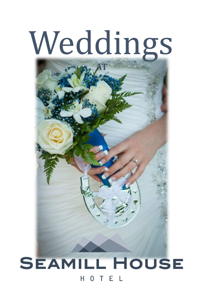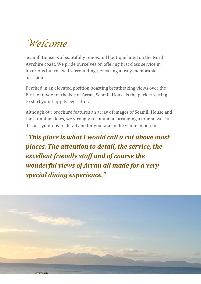## *Welcome*

Seamill House is a beautifully renovated boutique hotel on the North Ayrshire coast. We pride ourselves on offering first class service in luxurious but relaxed surroundings, ensuring a truly memorable occasion.

Perched in an elevated position boasting breathtaking views over the Firth of Clyde tot the Isle of Arran, Seamill House is the perfect setting to start your happily ever after.

Although our brochure features an array of images of Seamill House and the stunning views, we strongly recommend arranging a tour so we can discuss your day in detail and for you take in the venue in person.

*"This place is what I would call a cut above most places. The attention to detail, the service, the excellent friendly staff and of course the wonderful views of Arran all made for a very special dining experience."*

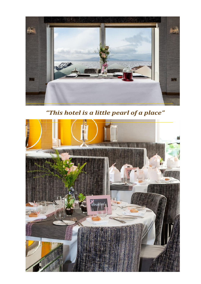

*"This hotel is a little pearl of a place"*

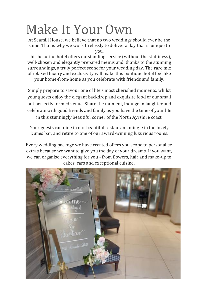# Make It Your Own

At Seamill House, we believe that no two weddings should ever be the same. That is why we work tirelessly to deliver a day that is unique to you.

This beautiful hotel offers outstanding service (without the stuffiness), well-chosen and elegantly prepared menus and, thanks to the stunning surroundings, a truly perfect scene for your wedding day. The rare mix of relaxed luxury and exclusivity will make this boutique hotel feel like your home-from-home as you celebrate with friends and family.

Simply prepare to savour one of life's most cherished moments, whilst your guests enjoy the elegant backdrop and exquisite food of our small but perfectly formed venue. Share the moment, indulge in laughter and celebrate with good friends and family as you have the time of your life

in this stunningly beautiful corner of the North Ayrshire coast.

Your guests can dine in our beautiful restaurant, mingle in the lovely Dunes bar, and retire to one of our award-winning luxurious rooms.

Every wedding package we have created offers you scope to personalise extras because we want to give you the day of your dreams. If you want, we can organise everything for you - from flowers, hair and make-up to cakes, cars and exceptional cuisine.

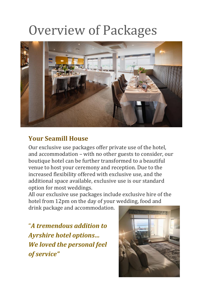# Overview of Packages



### **Your Seamill House**

Our exclusive use packages offer private use of the hotel, and accommodation – with no other guests to consider, our boutique hotel can be further transformed to a beautiful venue to host your ceremony and reception. Due to the increased flexibility offered with exclusive use, and the additional space available, exclusive use is our standard option for most weddings.

All our exclusive use packages include exclusive hire of the hotel from 12pm on the day of your wedding, food and

drink package and accommodation.

"*A tremendous addition to Ayrshire hotel options… We loved the personal feel of service"*

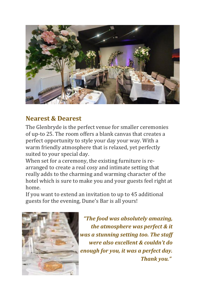

### **Nearest & Dearest**

The Glenbryde is the perfect venue for smaller ceremonies of up-to 25. The room offers a blank canvas that creates a perfect opportunity to style your day your way. With a warm friendly atmosphere that is relaxed, yet perfectly suited to your special day.

When set for a ceremony, the existing furniture is rearranged to create a real cosy and intimate setting that really adds to the charming and warming character of the hotel which is sure to make you and your guests feel right at home.

If you want to extend an invitation to up to 45 additional guests for the evening, Dune's Bar is all yours!



*"The food was absolutely amazing, the atmosphere was perfect & it was a stunning setting too. The staff were also excellent & couldn't do enough for you, it was a perfect day. Thank you."*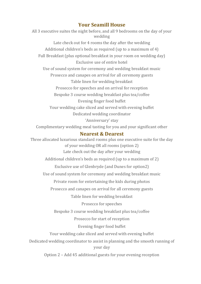#### **Your Seamill House**

All 3 executive suites the night before, and all 9 bedrooms on the day of your wedding Late check out for 4 rooms the day after the wedding Additional children's beds as required (up to a maximum of 4) Full Breakfast (plus optional breakfast in your room on wedding day) Exclusive use of entire hotel Use of sound system for ceremony and wedding breakfast music Prosecco and canapes on arrival for all ceremony guests Table linen for wedding breakfast Prosecco for speeches and on arrival for reception Bespoke 3 course wedding breakfast plus tea/coffee Evening finger food buffet Your wedding cake sliced and served with evening buffet Dedicated wedding coordinator 'Anniversary' stay Complimentary wedding meal tasting for you and your significant other **Nearest & Dearest** Three allocated luxurious standard rooms plus one executive suite for the day of your wedding OR all rooms (option 2) Late check out the day after your wedding Additional children's beds as required (up to a maximum of 2) Exclusive use of Glenbryde (and Dunes for option2) Use of sound system for ceremony and wedding breakfast music Private room for entertaining the kids during photos Prosecco and canapes on arrival for all ceremony guests Table linen for wedding breakfast Prosecco for speeches Bespoke 3 course wedding breakfast plus tea/coffee Prosecco for start of reception

#### Evening finger food buffet

Your wedding cake sliced and served with evening buffet

Dedicated wedding coordinator to assist in planning and the smooth running of your day

Option 2 – Add 45 additional guests for your evening reception